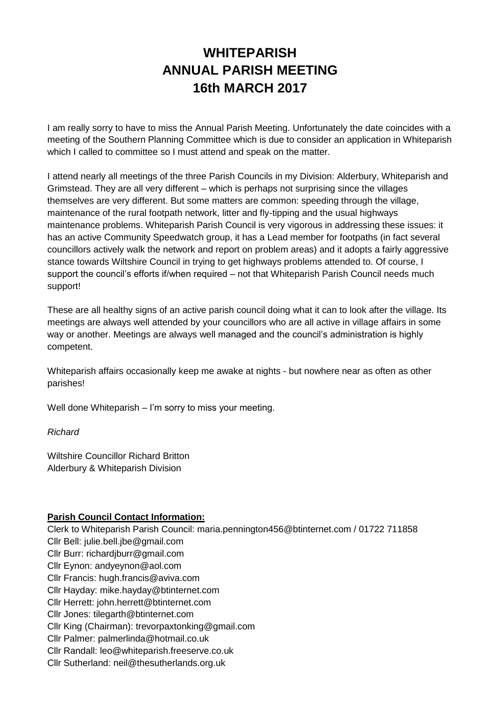# **WHITEPARISH ANNUAL PARISH MEETING 16th MARCH 2017**

I am really sorry to have to miss the Annual Parish Meeting. Unfortunately the date coincides with a meeting of the Southern Planning Committee which is due to consider an application in Whiteparish which I called to committee so I must attend and speak on the matter.

I attend nearly all meetings of the three Parish Councils in my Division: Alderbury, Whiteparish and Grimstead. They are all very different – which is perhaps not surprising since the villages themselves are very different. But some matters are common: speeding through the village, maintenance of the rural footpath network, litter and fly-tipping and the usual highways maintenance problems. Whiteparish Parish Council is very vigorous in addressing these issues: it has an active Community Speedwatch group, it has a Lead member for footpaths (in fact several councillors actively walk the network and report on problem areas) and it adopts a fairly aggressive stance towards Wiltshire Council in trying to get highways problems attended to. Of course, I support the council's efforts if/when required – not that Whiteparish Parish Council needs much support!

These are all healthy signs of an active parish council doing what it can to look after the village. Its meetings are always well attended by your councillors who are all active in village affairs in some way or another. Meetings are always well managed and the council's administration is highly competent.

Whiteparish affairs occasionally keep me awake at nights - but nowhere near as often as other parishes!

Well done Whiteparish – I'm sorry to miss your meeting.

*Richard*

Wiltshire Councillor Richard Britton Alderbury & Whiteparish Division

#### **Parish Council Contact Information:**

Clerk to Whiteparish Parish Council: maria.pennington456@btinternet.com / 01722 711858 Cllr Bell: julie.bell.jbe@gmail.com Cllr Burr: richardjburr@gmail.com Cllr Eynon: andyeynon@aol.com Cllr Francis: hugh.francis@aviva.com Cllr Hayday: mike.hayday@btinternet.com Cllr Herrett: john.herrett@btinternet.com Cllr Jones: tilegarth@btinternet.com Cllr King (Chairman): trevorpaxtonking@gmail.com Cllr Palmer: palmerlinda@hotmail.co.uk Cllr Randall: leo@whiteparish.freeserve.co.uk Cllr Sutherland: neil@thesutherlands.org.uk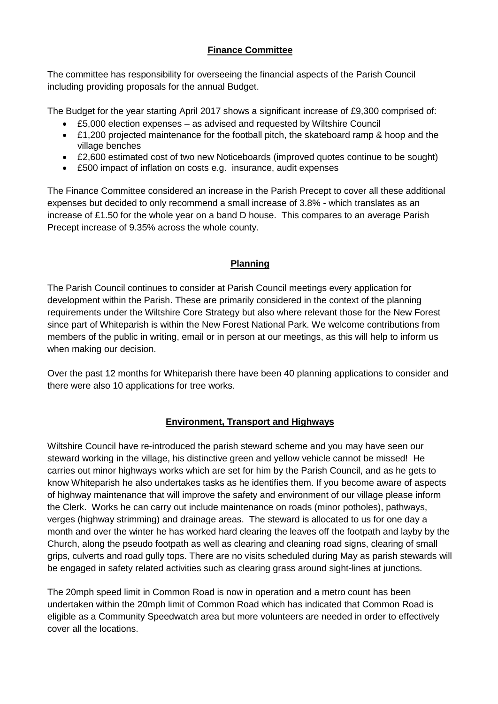## **Finance Committee**

The committee has responsibility for overseeing the financial aspects of the Parish Council including providing proposals for the annual Budget.

The Budget for the year starting April 2017 shows a significant increase of £9,300 comprised of:

- £5,000 election expenses as advised and requested by Wiltshire Council
- £1,200 projected maintenance for the football pitch, the skateboard ramp & hoop and the village benches
- £2,600 estimated cost of two new Noticeboards (improved quotes continue to be sought)
- £500 impact of inflation on costs e.g. insurance, audit expenses

The Finance Committee considered an increase in the Parish Precept to cover all these additional expenses but decided to only recommend a small increase of 3.8% - which translates as an increase of £1.50 for the whole year on a band D house. This compares to an average Parish Precept increase of 9.35% across the whole county.

#### **Planning**

The Parish Council continues to consider at Parish Council meetings every application for development within the Parish. These are primarily considered in the context of the planning requirements under the Wiltshire Core Strategy but also where relevant those for the New Forest since part of Whiteparish is within the New Forest National Park. We welcome contributions from members of the public in writing, email or in person at our meetings, as this will help to inform us when making our decision.

Over the past 12 months for Whiteparish there have been 40 planning applications to consider and there were also 10 applications for tree works.

#### **Environment, Transport and Highways**

Wiltshire Council have re-introduced the parish steward scheme and you may have seen our steward working in the village, his distinctive green and yellow vehicle cannot be missed! He carries out minor highways works which are set for him by the Parish Council, and as he gets to know Whiteparish he also undertakes tasks as he identifies them. If you become aware of aspects of highway maintenance that will improve the safety and environment of our village please inform the Clerk. Works he can carry out include maintenance on roads (minor potholes), pathways, verges (highway strimming) and drainage areas. The steward is allocated to us for one day a month and over the winter he has worked hard clearing the leaves off the footpath and layby by the Church, along the pseudo footpath as well as clearing and cleaning road signs, clearing of small grips, culverts and road gully tops. There are no visits scheduled during May as parish stewards will be engaged in safety related activities such as clearing grass around sight-lines at junctions.

The 20mph speed limit in Common Road is now in operation and a metro count has been undertaken within the 20mph limit of Common Road which has indicated that Common Road is eligible as a Community Speedwatch area but more volunteers are needed in order to effectively cover all the locations.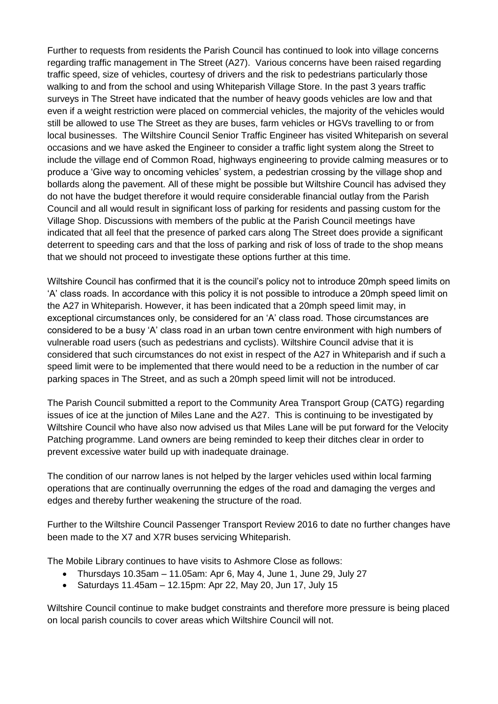Further to requests from residents the Parish Council has continued to look into village concerns regarding traffic management in The Street (A27). Various concerns have been raised regarding traffic speed, size of vehicles, courtesy of drivers and the risk to pedestrians particularly those walking to and from the school and using Whiteparish Village Store. In the past 3 years traffic surveys in The Street have indicated that the number of heavy goods vehicles are low and that even if a weight restriction were placed on commercial vehicles, the majority of the vehicles would still be allowed to use The Street as they are buses, farm vehicles or HGVs travelling to or from local businesses. The Wiltshire Council Senior Traffic Engineer has visited Whiteparish on several occasions and we have asked the Engineer to consider a traffic light system along the Street to include the village end of Common Road, highways engineering to provide calming measures or to produce a 'Give way to oncoming vehicles' system, a pedestrian crossing by the village shop and bollards along the pavement. All of these might be possible but Wiltshire Council has advised they do not have the budget therefore it would require considerable financial outlay from the Parish Council and all would result in significant loss of parking for residents and passing custom for the Village Shop. Discussions with members of the public at the Parish Council meetings have indicated that all feel that the presence of parked cars along The Street does provide a significant deterrent to speeding cars and that the loss of parking and risk of loss of trade to the shop means that we should not proceed to investigate these options further at this time.

Wiltshire Council has confirmed that it is the council's policy not to introduce 20mph speed limits on 'A' class roads. In accordance with this policy it is not possible to introduce a 20mph speed limit on the A27 in Whiteparish. However, it has been indicated that a 20mph speed limit may, in exceptional circumstances only, be considered for an 'A' class road. Those circumstances are considered to be a busy 'A' class road in an urban town centre environment with high numbers of vulnerable road users (such as pedestrians and cyclists). Wiltshire Council advise that it is considered that such circumstances do not exist in respect of the A27 in Whiteparish and if such a speed limit were to be implemented that there would need to be a reduction in the number of car parking spaces in The Street, and as such a 20mph speed limit will not be introduced.

The Parish Council submitted a report to the Community Area Transport Group (CATG) regarding issues of ice at the junction of Miles Lane and the A27. This is continuing to be investigated by Wiltshire Council who have also now advised us that Miles Lane will be put forward for the Velocity Patching programme. Land owners are being reminded to keep their ditches clear in order to prevent excessive water build up with inadequate drainage.

The condition of our narrow lanes is not helped by the larger vehicles used within local farming operations that are continually overrunning the edges of the road and damaging the verges and edges and thereby further weakening the structure of the road.

Further to the Wiltshire Council Passenger Transport Review 2016 to date no further changes have been made to the X7 and X7R buses servicing Whiteparish.

The Mobile Library continues to have visits to Ashmore Close as follows:

- Thursdays 10.35am 11.05am: Apr 6, May 4, June 1, June 29, July 27
- $\bullet$  Saturdays 11.45am 12.15pm: Apr 22, May 20, Jun 17, July 15

Wiltshire Council continue to make budget constraints and therefore more pressure is being placed on local parish councils to cover areas which Wiltshire Council will not.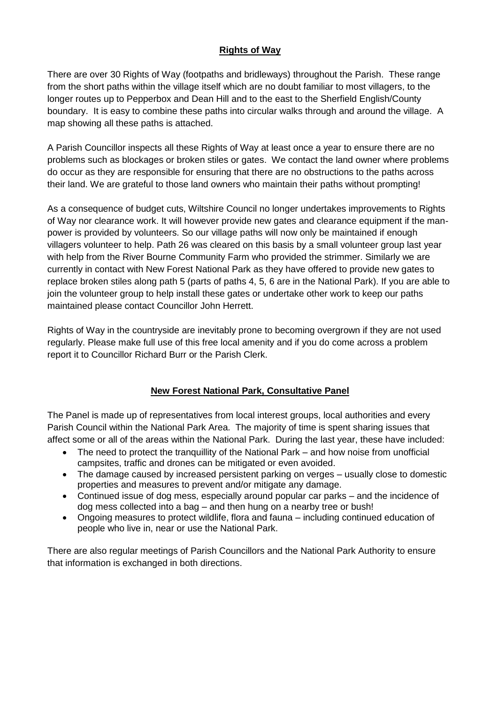### **Rights of Way**

There are over 30 Rights of Way (footpaths and bridleways) throughout the Parish. These range from the short paths within the village itself which are no doubt familiar to most villagers, to the longer routes up to Pepperbox and Dean Hill and to the east to the Sherfield English/County boundary. It is easy to combine these paths into circular walks through and around the village. A map showing all these paths is attached.

A Parish Councillor inspects all these Rights of Way at least once a year to ensure there are no problems such as blockages or broken stiles or gates. We contact the land owner where problems do occur as they are responsible for ensuring that there are no obstructions to the paths across their land. We are grateful to those land owners who maintain their paths without prompting!

As a consequence of budget cuts, Wiltshire Council no longer undertakes improvements to Rights of Way nor clearance work. It will however provide new gates and clearance equipment if the manpower is provided by volunteers. So our village paths will now only be maintained if enough villagers volunteer to help. Path 26 was cleared on this basis by a small volunteer group last year with help from the River Bourne Community Farm who provided the strimmer. Similarly we are currently in contact with New Forest National Park as they have offered to provide new gates to replace broken stiles along path 5 (parts of paths 4, 5, 6 are in the National Park). If you are able to join the volunteer group to help install these gates or undertake other work to keep our paths maintained please contact Councillor John Herrett.

Rights of Way in the countryside are inevitably prone to becoming overgrown if they are not used regularly. Please make full use of this free local amenity and if you do come across a problem report it to Councillor Richard Burr or the Parish Clerk.

#### **New Forest National Park, Consultative Panel**

The Panel is made up of representatives from local interest groups, local authorities and every Parish Council within the National Park Area. The majority of time is spent sharing issues that affect some or all of the areas within the National Park. During the last year, these have included:

- The need to protect the tranquillity of the National Park and how noise from unofficial campsites, traffic and drones can be mitigated or even avoided.
- The damage caused by increased persistent parking on verges usually close to domestic properties and measures to prevent and/or mitigate any damage.
- Continued issue of dog mess, especially around popular car parks and the incidence of dog mess collected into a bag – and then hung on a nearby tree or bush!
- Ongoing measures to protect wildlife, flora and fauna including continued education of people who live in, near or use the National Park.

There are also regular meetings of Parish Councillors and the National Park Authority to ensure that information is exchanged in both directions.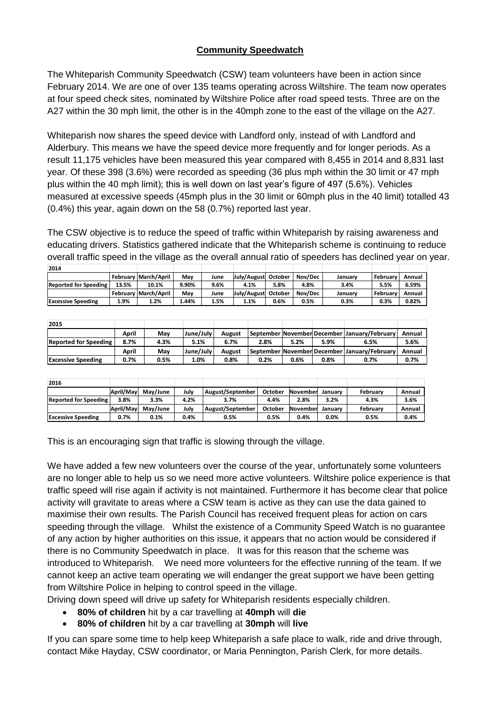## **Community Speedwatch**

The Whiteparish Community Speedwatch (CSW) team volunteers have been in action since February 2014. We are one of over 135 teams operating across Wiltshire. The team now operates at four speed check sites, nominated by Wiltshire Police after road speed tests. Three are on the A27 within the 30 mph limit, the other is in the 40mph zone to the east of the village on the A27.

Whiteparish now shares the speed device with Landford only, instead of with Landford and Alderbury. This means we have the speed device more frequently and for longer periods. As a result 11,175 vehicles have been measured this year compared with 8,455 in 2014 and 8,831 last year. Of these 398 (3.6%) were recorded as speeding (36 plus mph within the 30 limit or 47 mph plus within the 40 mph limit); this is well down on last year's figure of 497 (5.6%). Vehicles measured at excessive speeds (45mph plus in the 30 limit or 60mph plus in the 40 limit) totalled 43 (0.4%) this year, again down on the 58 (0.7%) reported last year.

The CSW objective is to reduce the speed of traffic within Whiteparish by raising awareness and educating drivers. Statistics gathered indicate that the Whiteparish scheme is continuing to reduce overall traffic speed in the village as the overall annual ratio of speeders has declined year on year.

| 2014                         |       |                      |       |      |                     |         |         |         |                 |        |
|------------------------------|-------|----------------------|-------|------|---------------------|---------|---------|---------|-----------------|--------|
|                              |       | February March/April | Mav   | June | July/August October |         | Nov/Dec | Januarv | <b>February</b> | Annual |
| <b>Reported for Speeding</b> | 13.5% | 10.1%                | 9.90% | 9.6% | 4.1%                | 5.8%    | 4.8%    | 3.4%    | 5.5%            | 6.59%  |
|                              |       | February March/April | Mav   | June | July/August         | October | Nov/Dec | Januarv | February        | Annual |
| <b>Excessive Speeding</b>    | 1.9%  | 1.2%                 | 1.44% | 1.5% | 1.1%                | 0.6%    | 0.5%    | 0.3%    | 0.3%            | 0.82%  |

| 2015                         |       |      |           |               |      |      |      |                                              |        |
|------------------------------|-------|------|-----------|---------------|------|------|------|----------------------------------------------|--------|
|                              | April | Mav  | June/July | <b>August</b> |      |      |      | September November December January/February | Annual |
| <b>Reported for Speeding</b> | 8.7%  | 4.3% | 5.1%      | 6.7%          | 2.8% | 5.2% | 5.9% | 6.5%                                         | 5.6%   |
|                              | April | Mav  | June/July | <b>August</b> |      |      |      | September November December January/February | Annual |
| <b>Excessive Speeding</b>    | 0.7%  | 0.5% | 1.0%      | 0.8%          | 0.2% | 0.6% | 0.8% | 0.7%                                         | 0.7%   |

| 2016                         |           |          |      |                  |         |          |         |          |        |
|------------------------------|-----------|----------|------|------------------|---------|----------|---------|----------|--------|
|                              | April/May | May/June | Julv | August/September | October | November | Januarv | February | Annual |
| <b>Reported for Speeding</b> | 3.8%      | 3.3%     | 4.2% | 3.7%             | 4.4%    | 2.8%     | 3.2%    | 4.3%     | 3.6%   |
|                              | April/Mav | Mav/June | Julv | August/September | October | November | Januarv | February | Annual |
| <b>Excessive Speeding</b>    | 0.7%      | 0.1%     | 0.4% | 0.5%             | 0.5%    | 0.4%     | 0.0%    | 0.5%     | 0.4%   |

This is an encouraging sign that traffic is slowing through the village.

We have added a few new volunteers over the course of the year, unfortunately some volunteers are no longer able to help us so we need more active volunteers. Wiltshire police experience is that traffic speed will rise again if activity is not maintained. Furthermore it has become clear that police activity will gravitate to areas where a CSW team is active as they can use the data gained to maximise their own results. The Parish Council has received frequent pleas for action on cars speeding through the village. Whilst the existence of a Community Speed Watch is no guarantee of any action by higher authorities on this issue, it appears that no action would be considered if there is no Community Speedwatch in place. It was for this reason that the scheme was introduced to Whiteparish. We need more volunteers for the effective running of the team. If we cannot keep an active team operating we will endanger the great support we have been getting from Wiltshire Police in helping to control speed in the village. **Example the Contact Mike Hayday Mike Hayday** (**Contact Mike Hayday Contact Mike Hayday** (**Contact Mike Hayday** (**Contact Mike Hayday** (**Contact Contact Mike Hayday** (**Contact Contact A)** (**Contact Contact A)** (**Contact Co** 

Driving down speed will drive up safety for Whiteparish residents especially children.

- **80% of children** hit by a car travelling at **40mph** will **die**
- **80% of children** hit by a car travelling at **30mph** will **live**

If you can spare some time to help keep Whiteparish a safe place to walk, ride and drive through,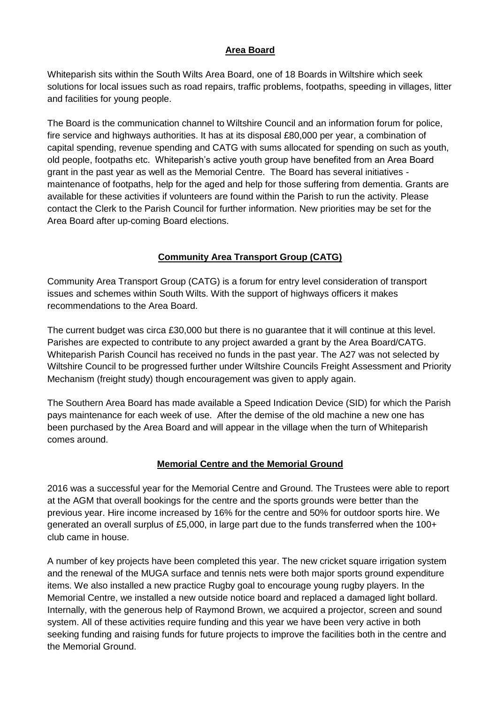### **Area Board**

Whiteparish sits within the South Wilts Area Board, one of 18 Boards in Wiltshire which seek solutions for local issues such as road repairs, traffic problems, footpaths, speeding in villages, litter and facilities for young people.

The Board is the communication channel to Wiltshire Council and an information forum for police, fire service and highways authorities. It has at its disposal £80,000 per year, a combination of capital spending, revenue spending and CATG with sums allocated for spending on such as youth, old people, footpaths etc. Whiteparish's active youth group have benefited from an Area Board grant in the past year as well as the Memorial Centre. The Board has several initiatives maintenance of footpaths, help for the aged and help for those suffering from dementia. Grants are available for these activities if volunteers are found within the Parish to run the activity. Please contact the Clerk to the Parish Council for further information. New priorities may be set for the Area Board after up-coming Board elections.

## **Community Area Transport Group (CATG)**

Community Area Transport Group (CATG) is a forum for entry level consideration of transport issues and schemes within South Wilts. With the support of highways officers it makes recommendations to the Area Board.

The current budget was circa £30,000 but there is no guarantee that it will continue at this level. Parishes are expected to contribute to any project awarded a grant by the Area Board/CATG. Whiteparish Parish Council has received no funds in the past year. The A27 was not selected by Wiltshire Council to be progressed further under Wiltshire Councils Freight Assessment and Priority Mechanism (freight study) though encouragement was given to apply again.

The Southern Area Board has made available a Speed Indication Device (SID) for which the Parish pays maintenance for each week of use. After the demise of the old machine a new one has been purchased by the Area Board and will appear in the village when the turn of Whiteparish comes around.

#### **Memorial Centre and the Memorial Ground**

2016 was a successful year for the Memorial Centre and Ground. The Trustees were able to report at the AGM that overall bookings for the centre and the sports grounds were better than the previous year. Hire income increased by 16% for the centre and 50% for outdoor sports hire. We generated an overall surplus of £5,000, in large part due to the funds transferred when the 100+ club came in house.

A number of key projects have been completed this year. The new cricket square irrigation system and the renewal of the MUGA surface and tennis nets were both major sports ground expenditure items. We also installed a new practice Rugby goal to encourage young rugby players. In the Memorial Centre, we installed a new outside notice board and replaced a damaged light bollard. Internally, with the generous help of Raymond Brown, we acquired a projector, screen and sound system. All of these activities require funding and this year we have been very active in both seeking funding and raising funds for future projects to improve the facilities both in the centre and the Memorial Ground.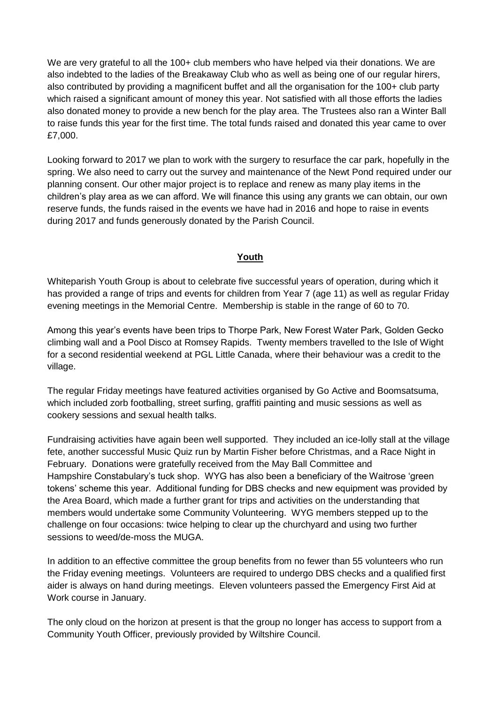We are very grateful to all the 100+ club members who have helped via their donations. We are also indebted to the ladies of the Breakaway Club who as well as being one of our regular hirers, also contributed by providing a magnificent buffet and all the organisation for the 100+ club party which raised a significant amount of money this year. Not satisfied with all those efforts the ladies also donated money to provide a new bench for the play area. The Trustees also ran a Winter Ball to raise funds this year for the first time. The total funds raised and donated this year came to over £7,000.

Looking forward to 2017 we plan to work with the surgery to resurface the car park, hopefully in the spring. We also need to carry out the survey and maintenance of the Newt Pond required under our planning consent. Our other major project is to replace and renew as many play items in the children's play area as we can afford. We will finance this using any grants we can obtain, our own reserve funds, the funds raised in the events we have had in 2016 and hope to raise in events during 2017 and funds generously donated by the Parish Council.

#### **Youth**

Whiteparish Youth Group is about to celebrate five successful years of operation, during which it has provided a range of trips and events for children from Year 7 (age 11) as well as regular Friday evening meetings in the Memorial Centre. Membership is stable in the range of 60 to 70.

Among this year's events have been trips to Thorpe Park, New Forest Water Park, Golden Gecko climbing wall and a Pool Disco at Romsey Rapids. Twenty members travelled to the Isle of Wight for a second residential weekend at PGL Little Canada, where their behaviour was a credit to the village.

The regular Friday meetings have featured activities organised by Go Active and Boomsatsuma, which included zorb footballing, street surfing, graffiti painting and music sessions as well as cookery sessions and sexual health talks.

Fundraising activities have again been well supported. They included an ice-lolly stall at the village fete, another successful Music Quiz run by Martin Fisher before Christmas, and a Race Night in February. Donations were gratefully received from the May Ball Committee and Hampshire Constabulary's tuck shop. WYG has also been a beneficiary of the Waitrose 'green tokens' scheme this year. Additional funding for DBS checks and new equipment was provided by the Area Board, which made a further grant for trips and activities on the understanding that members would undertake some Community Volunteering. WYG members stepped up to the challenge on four occasions: twice helping to clear up the churchyard and using two further sessions to weed/de-moss the MUGA.

In addition to an effective committee the group benefits from no fewer than 55 volunteers who run the Friday evening meetings. Volunteers are required to undergo DBS checks and a qualified first aider is always on hand during meetings. Eleven volunteers passed the Emergency First Aid at Work course in January.

The only cloud on the horizon at present is that the group no longer has access to support from a Community Youth Officer, previously provided by Wiltshire Council.